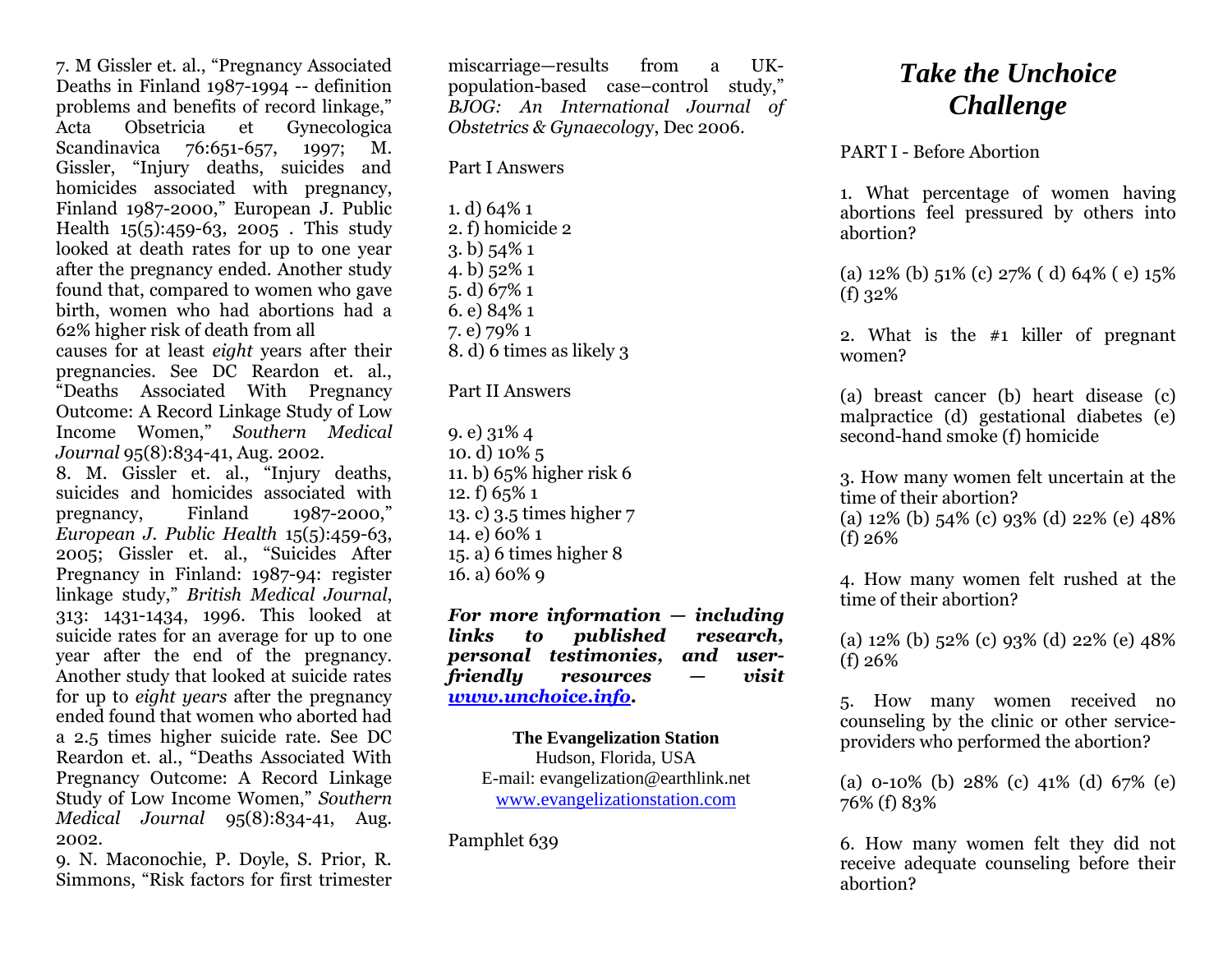7. M Gissler et. al., "Pregnancy Associated Deaths in Finland 1987-1994 -- definition problems and benefits of record linkage," Acta Obsetricia et Gynecologica Scandinavica 76:651-657, 1997; M. Gissler, "Injury deaths, suicides and homicides associated with pregnancy, Finland 1987-2000," European J. Public Health 15(5):459-63, 2005 . This study looked at death rates for up to one year after the pregnancy ended. Another study found that, compared to women who gave birth, women who had abortions had a 62% higher risk of death from all causes for at least *eight* years after their pregnancies. See DC Reardon et. al., "Deaths Associated With Pregnancy

Outcome: A Record Linkage Study of Low Income Women," *Southern Medical Journal* 95(8):834-41, Aug. 2002.

8. M. Gissler et. al., "Injury deaths, suicides and homicides associated with<br>pregnancy. Finland 1987-2000." pregnancy, Finland 1987-2000," *European J. Public Health* 15(5):459-63, 2005; Gissler et. al., "Suicides After Pregnancy in Finland: 1987-94: register linkage study," *British Medical Journal*, 313: 1431-1434, 1996. This looked at suicide rates for an average for up to one year after the end of the pregnancy. Another study that looked at suicide rates for up to *eight years* after the pregnancy ended found that women who aborted had a 2.5 times higher suicide rate. See DC Reardon et. al., "Deaths Associated With Pregnancy Outcome: A Record Linkage Study of Low Income Women," *Southern Medical Journal* 95(8):834-41, Aug. 2002.

9. N. Maconochie, P. Doyle, S. Prior, R. Simmons, "Risk factors for first trimester miscarriage—results from a UKpopulation-based case–control study," *BJOG: An International Journal of Obstetrics & Gynaecolog*y, Dec 2006.

Part I Answers

1. d) 64% 1 2. f) homicide 2 3. b) 54% 1 4. b) 52% 1 5. d) 67% 1 6. e) 84% 1 7. e) 79% 1 8. d) 6 times as likely 3

## Part II Answers

9. e) 31% 4 10. d) 10% 5 11. b) 65% higher risk 6 12. f) 65% 1 13. c) 3.5 times higher 7 14. e) 60% 1 15. a) 6 times higher 8 16. a) 60% 9

*For more information — including links to published research, personal testimonies, and userfriendly resources — visit [www.unchoice.info.](http://www.unchoice.info/)*

**The Evangelization Station** Hudson, Florida, USA E-mail: evangelization@earthlink.net [www.evangelizationstation.com](http://www.pjpiisoe.org/)

Pamphlet 639

## *Take the Unchoice Challenge*

## PART I - Before Abortion

1. What percentage of women having abortions feel pressured by others into abortion?

(a) 12% (b) 51% (c) 27% ( d) 64% ( e) 15% (f) 32%

2. What is the #1 killer of pregnant women?

(a) breast cancer (b) heart disease (c) malpractice (d) gestational diabetes (e) second-hand smoke (f) homicide

3. How many women felt uncertain at the time of their abortion?

(a) 12% (b) 54% (c) 93% (d) 22% (e) 48% (f) 26%

4. How many women felt rushed at the time of their abortion?

(a) 12% (b) 52% (c) 93% (d) 22% (e) 48% (f) 26%

5. How many women received no counseling by the clinic or other serviceproviders who performed the abortion?

(a) 0-10% (b) 28% (c) 41% (d) 67% (e) 76% (f) 83%

6. How many women felt they did not receive adequate counseling before their abortion?